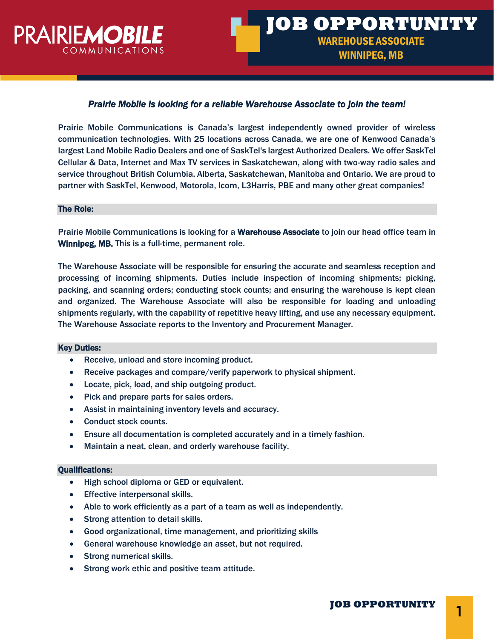

# *Prairie Mobile is looking for a reliable Warehouse Associate to join the team!*

Prairie Mobile Communications is Canada's largest independently owned provider of wireless communication technologies. With 25 locations across Canada, we are one of Kenwood Canada's largest Land Mobile Radio Dealers and one of SaskTel's largest Authorized Dealers. We offer SaskTel Cellular & Data, Internet and Max TV services in Saskatchewan, along with two-way radio sales and service throughout British Columbia, Alberta, Saskatchewan, Manitoba and Ontario. We are proud to partner with SaskTel, Kenwood, Motorola, Icom, L3Harris, PBE and many other great companies!

#### The Role:

Prairie Mobile Communications is looking for a Warehouse Associate to join our head office team in Winnipeg, MB. This is a full-time, permanent role.

The Warehouse Associate will be responsible for ensuring the accurate and seamless reception and processing of incoming shipments. Duties include inspection of incoming shipments; picking, packing, and scanning orders; conducting stock counts; and ensuring the warehouse is kept clean and organized. The Warehouse Associate will also be responsible for loading and unloading shipments regularly, with the capability of repetitive heavy lifting, and use any necessary equipment. The Warehouse Associate reports to the Inventory and Procurement Manager.

### Key Duties:

- Receive, unload and store incoming product.
- Receive packages and compare/verify paperwork to physical shipment.
- Locate, pick, load, and ship outgoing product.
- Pick and prepare parts for sales orders.
- Assist in maintaining inventory levels and accuracy.
- Conduct stock counts.
- Ensure all documentation is completed accurately and in a timely fashion.
- Maintain a neat, clean, and orderly warehouse facility.

#### Qualifications:

- High school diploma or GED or equivalent.
- Effective interpersonal skills.
- Able to work efficiently as a part of a team as well as independently.
- Strong attention to detail skills.
- Good organizational, time management, and prioritizing skills
- General warehouse knowledge an asset, but not required.
- Strong numerical skills.
- Strong work ethic and positive team attitude.